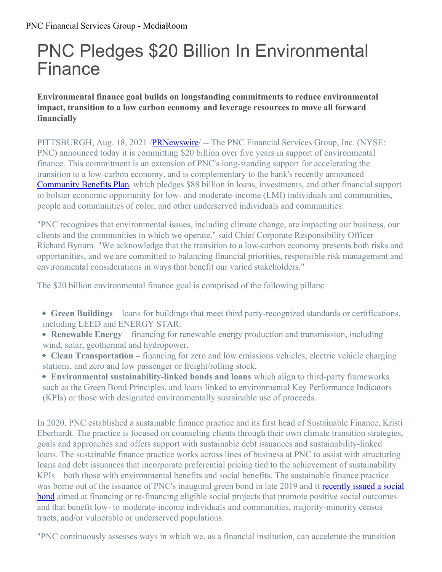## PNC Pledges \$20 Billion In Environmental Finance

**Environmental finance goal builds on longstanding commitments to reduce environmental impact, transition to a low carbon economy and leverage resources to move all forward financially**

PITTSBURGH, Aug. 18, 2021 /**PRNewswire** -- The PNC Financial Services Group, Inc. (NYSE: PNC) announced today it is committing \$20 billion over five years in support of environmental finance. This commitment is an extension of PNC's long-standing support for accelerating the transition to a low-carbon economy, and is complementary to the bank's recently announced [Community](https://c212.net/c/link/?t=0&l=en&o=3263529-1&h=1972958327&u=https%3A%2F%2Fpnc.mediaroom.com%2F2021-04-27-PNC-Announces-88-Billion-Community-Benefits-Plan&a=Community+Benefits+Plan) Benefits Plan, which pledges \$88 billion in loans, investments, and other financial support to bolster economic opportunity for low- and moderate-income (LMI) individuals and communities, people and communities of color, and other underserved individuals and communities.

"PNC recognizes that environmental issues, including climate change, are impacting our business, our clients and the communities in which we operate," said Chief Corporate Responsibility Officer Richard Bynum. "We acknowledge that the transition to a low-carbon economy presents both risks and opportunities, and we are committed to balancing financial priorities, responsible risk management and environmental considerations in ways that benefit our varied stakeholders."

The \$20 billion environmental finance goal is comprised of the following pillars:

- **Green Buildings** loans for buildings that meet third party-recognized standards or certifications, including LEED and ENERGY STAR.
- **Renewable Energy** financing for renewable energy production and transmission, including wind, solar, geothermal and hydropower.
- **Clean Transportation** financing for zero and low emissions vehicles, electric vehicle charging stations, and zero and low passenger or freight/rolling stock.
- **Environmental sustainability-linked bonds and loans** which align to third-party frameworks such as the Green Bond Principles, and loans linked to environmental Key Performance Indicators (KPIs) or those with designated environmentally sustainable use of proceeds.

In 2020, PNC established a sustainable finance practice and its first head of Sustainable Finance, Kristi Eberhardt. The practice is focused on counseling clients through their own climate transition strategies, goals and approaches and offers support with sustainable debt issuances and sustainability-linked loans. The sustainable finance practice works across lines of business at PNC to assist with structuring loans and debt issuances that incorporate preferential pricing tied to the achievement of sustainability KPIs – both those with environmental benefits and social benefits. The sustainable finance practice was borne out of the issuance of PNC's inaugural green bond in late 2019 and it recently issued a social bond aimed at financing or [re-financing](https://c212.net/c/link/?t=0&l=en&o=3263529-1&h=1599348710&u=https%3A%2F%2Fpnc.mediaroom.com%2F2021-08-13-PNC-Issues-Inaugural-Social-Bond&a=recently+issued+a+social+bond) eligible social projects that promote positive social outcomes and that benefit low- to moderate-income individuals and communities, majority-minority census tracts, and/or vulnerable or underserved populations.

"PNC continuously assesses ways in which we, as a financial institution, can accelerate the transition